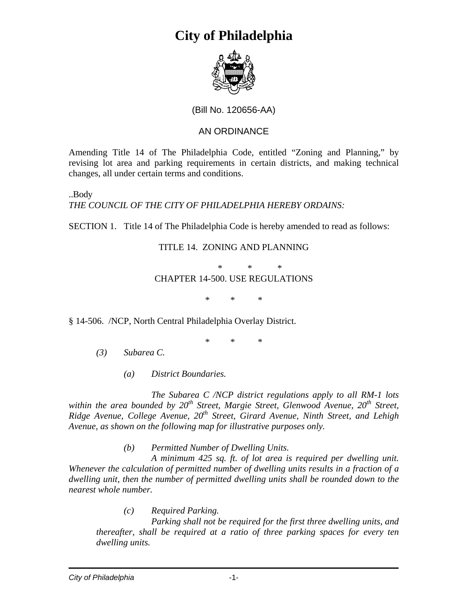

(Bill No. 120656-AA)

## AN ORDINANCE

Amending Title 14 of The Philadelphia Code, entitled "Zoning and Planning," by revising lot area and parking requirements in certain districts, and making technical changes, all under certain terms and conditions.

..Body *THE COUNCIL OF THE CITY OF PHILADELPHIA HEREBY ORDAINS:* 

SECTION 1. Title 14 of The Philadelphia Code is hereby amended to read as follows:

TITLE 14. ZONING AND PLANNING

 \* \* \* CHAPTER 14-500. USE REGULATIONS

\* \* \*

§ 14-506. /NCP, North Central Philadelphia Overlay District.

\* \* \*

*(3) Subarea C.* 

*(a) District Boundaries.* 

*The Subarea C /NCP district regulations apply to all RM-1 lots*  within the area bounded by 20<sup>th</sup> Street, Margie Street, Glenwood Avenue, 20<sup>th</sup> Street, *Ridge Avenue, College Avenue, 20<sup>th</sup> Street, Girard Avenue, Ninth Street, and Lehigh Avenue, as shown on the following map for illustrative purposes only.* 

*(b) Permitted Number of Dwelling Units.* 

*A minimum 425 sq. ft. of lot area is required per dwelling unit. Whenever the calculation of permitted number of dwelling units results in a fraction of a dwelling unit, then the number of permitted dwelling units shall be rounded down to the nearest whole number.* 

*(c) Required Parking.* 

 *Parking shall not be required for the first three dwelling units, and thereafter, shall be required at a ratio of three parking spaces for every ten dwelling units.*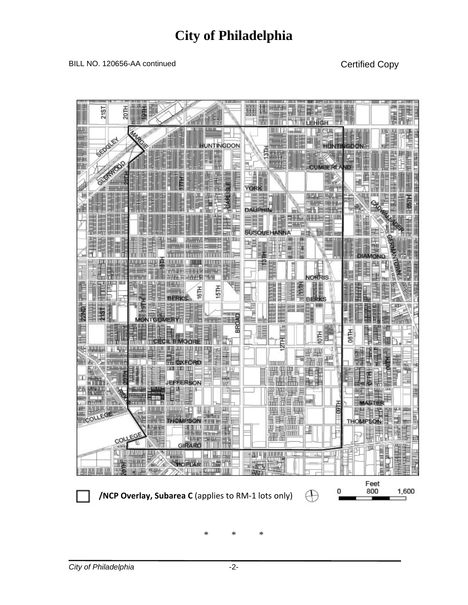BILL NO. 120656-AA continued Certified Copy

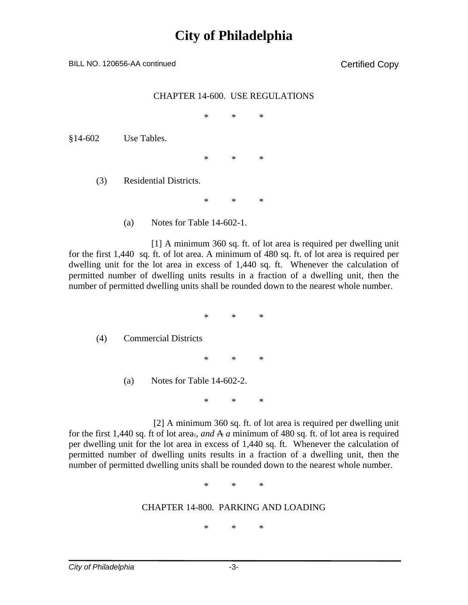BILL NO. 120656-AA continued **Cell and Cell and Cell and Cell and Certified Copy** 

### CHAPTER 14-600. USE REGULATIONS

\* \* \* §14-602 Use Tables. \* \* \* (3) Residential Districts.

\* \* \*

(a) Notes for Table 14-602-1.

 [1] A minimum 360 sq. ft. of lot area is required per dwelling unit for the first 1,440 sq. ft. of lot area. A minimum of 480 sq. ft. of lot area is required per dwelling unit for the lot area in excess of 1,440 sq. ft. Whenever the calculation of permitted number of dwelling units results in a fraction of a dwelling unit, then the number of permitted dwelling units shall be rounded down to the nearest whole number.

\* \* \*

(4) Commercial Districts

\* \* \*

(a) Notes for Table 14-602-2.

\* \* \*

 [2] A minimum 360 sq. ft. of lot area is required per dwelling unit for the first 1,440 sq. ft of lot area<sup>-</sup>, and A a minimum of 480 sq. ft. of lot area is required per dwelling unit for the lot area in excess of 1,440 sq. ft. Whenever the calculation of permitted number of dwelling units results in a fraction of a dwelling unit, then the number of permitted dwelling units shall be rounded down to the nearest whole number.

\* \* \*

### CHAPTER 14-800. PARKING AND LOADING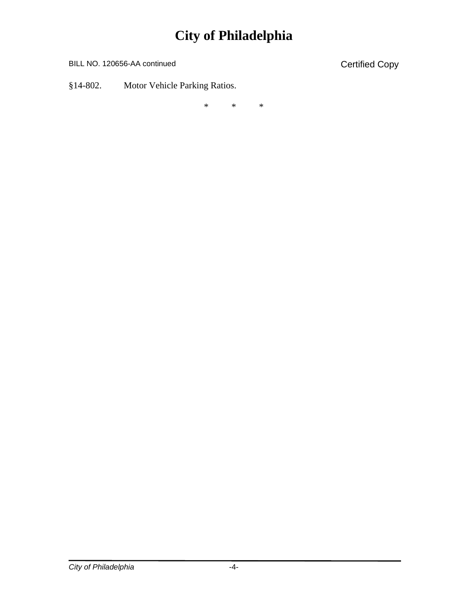BILL NO. 120656-AA continued Certified Copy

§14-802. Motor Vehicle Parking Ratios.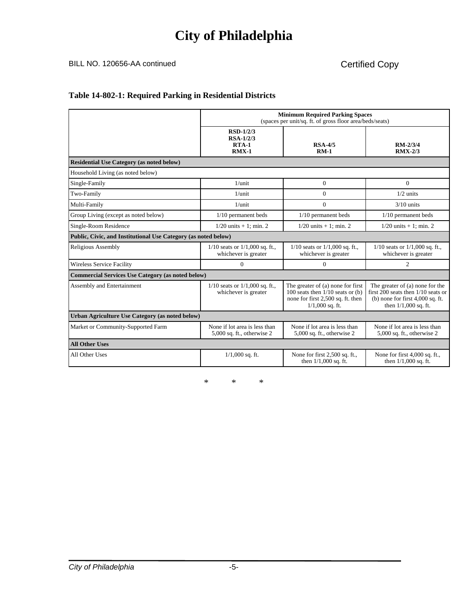## BILL NO. 120656-AA continued Certified Copy

## **Table 14-802-1: Required Parking in Residential Districts**

|                                                                | <b>Minimum Required Parking Spaces</b><br>(spaces per unit/sq. ft. of gross floor area/beds/seats) |                                                                                                                                     |                                                                                                                                           |  |
|----------------------------------------------------------------|----------------------------------------------------------------------------------------------------|-------------------------------------------------------------------------------------------------------------------------------------|-------------------------------------------------------------------------------------------------------------------------------------------|--|
|                                                                | RSD-1/2/3<br>$RSA-1/2/3$<br>$RTA-1$<br>$RMX-1$                                                     | $RSA-4/5$<br>$RM-1$                                                                                                                 | RM-2/3/4<br>$RMX-2/3$                                                                                                                     |  |
| <b>Residential Use Category (as noted below)</b>               |                                                                                                    |                                                                                                                                     |                                                                                                                                           |  |
| Household Living (as noted below)                              |                                                                                                    |                                                                                                                                     |                                                                                                                                           |  |
| Single-Family                                                  | $1/$ unit                                                                                          | $\mathbf{0}$                                                                                                                        | $\overline{0}$                                                                                                                            |  |
| Two-Family                                                     | $1/$ unit                                                                                          | $\Omega$                                                                                                                            | $1/2$ units                                                                                                                               |  |
| Multi-Family                                                   | 1/unit                                                                                             | $\overline{0}$                                                                                                                      | $3/10$ units                                                                                                                              |  |
| Group Living (except as noted below)                           | $1/10$ permanent beds                                                                              | $1/10$ permanent beds                                                                                                               | $1/10$ permanent beds                                                                                                                     |  |
| Single-Room Residence                                          | $1/20$ units + 1; min. 2                                                                           | $1/20$ units + 1; min. 2                                                                                                            | $1/20$ units + 1; min. 2                                                                                                                  |  |
| Public, Civic, and Institutional Use Category (as noted below) |                                                                                                    |                                                                                                                                     |                                                                                                                                           |  |
| Religious Assembly                                             | $1/10$ seats or $1/1,000$ sq. ft.,<br>whichever is greater                                         | $1/10$ seats or $1/1,000$ sq. ft.,<br>whichever is greater                                                                          | $1/10$ seats or $1/1,000$ sq. ft.,<br>whichever is greater                                                                                |  |
| <b>Wireless Service Facility</b>                               | $\mathbf{0}$                                                                                       | $\mathbf{0}$                                                                                                                        | 2                                                                                                                                         |  |
| <b>Commercial Services Use Category (as noted below)</b>       |                                                                                                    |                                                                                                                                     |                                                                                                                                           |  |
| Assembly and Entertainment                                     | $1/10$ seats or $1/1,000$ sq. ft.,<br>whichever is greater                                         | The greater of (a) none for first<br>100 seats then $1/10$ seats or $(b)$<br>none for first 2,500 sq. ft. then<br>$1/1,000$ sq. ft. | The greater of (a) none for the<br>first $200$ seats then $1/10$ seats or<br>(b) none for first $4,000$ sq. ft.<br>then $1/1,000$ sq. ft. |  |
| Urban Agriculture Use Category (as noted below)                |                                                                                                    |                                                                                                                                     |                                                                                                                                           |  |
| Market or Community-Supported Farm                             | None if lot area is less than<br>$5,000$ sq. ft., otherwise 2                                      | None if lot area is less than<br>5,000 sq. ft., otherwise 2                                                                         | None if lot area is less than<br>$5,000$ sq. ft., otherwise 2                                                                             |  |
| <b>All Other Uses</b>                                          |                                                                                                    |                                                                                                                                     |                                                                                                                                           |  |
| All Other Uses                                                 | $1/1,000$ sq. ft.                                                                                  | None for first 2,500 sq. ft.,<br>then $1/1,000$ sq. ft.                                                                             | None for first 4,000 sq. ft.,<br>then $1/1,000$ sq. ft.                                                                                   |  |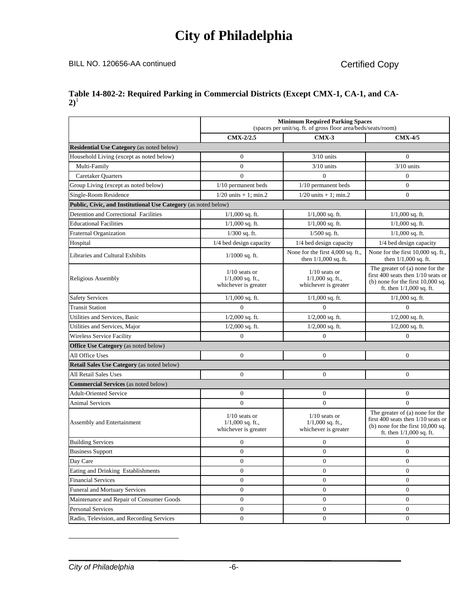## BILL NO. 120656-AA continued Certified Copy

### **Table 14-802-2: Required Parking in Commercial Districts (Except CMX-1, CA-1, and CA-** $2)^1$

|                                                                | <b>Minimum Required Parking Spaces</b><br>(spaces per unit/sq. ft. of gross floor area/beds/seats/room) |                                                               |                                                                                                                                                |  |
|----------------------------------------------------------------|---------------------------------------------------------------------------------------------------------|---------------------------------------------------------------|------------------------------------------------------------------------------------------------------------------------------------------------|--|
|                                                                | CMX-2/2.5                                                                                               | $CMX-3$                                                       | <b>CMX-4/5</b>                                                                                                                                 |  |
| <b>Residential Use Category</b> (as noted below)               |                                                                                                         |                                                               |                                                                                                                                                |  |
| Household Living (except as noted below)                       | $\boldsymbol{0}$                                                                                        | $3/10$ units                                                  | $\Omega$                                                                                                                                       |  |
| Multi-Family                                                   | $\overline{0}$                                                                                          | $3/10$ units                                                  | $3/10$ units                                                                                                                                   |  |
| <b>Caretaker Quarters</b>                                      | $\mathbf{0}$                                                                                            | $\Omega$                                                      | $\mathbf{0}$                                                                                                                                   |  |
| Group Living (except as noted below)                           | $1/10$ permanent beds                                                                                   | $1/10$ permanent beds                                         | $\mathbf{0}$                                                                                                                                   |  |
| Single-Room Residence                                          | $1/20$ units + 1; min.2                                                                                 | $1/20$ units + 1; min.2                                       | $\overline{0}$                                                                                                                                 |  |
| Public, Civic, and Institutional Use Category (as noted below) |                                                                                                         |                                                               |                                                                                                                                                |  |
| Detention and Correctional Facilities                          | $1/1,000$ sq. ft.                                                                                       | $1/1,000$ sq. ft.                                             | $1/1,000$ sq. ft.                                                                                                                              |  |
| <b>Educational Facilities</b>                                  | $1/1,000$ sq. ft.                                                                                       | $1/1,000$ sq. ft.                                             | $1/1,000$ sq. ft.                                                                                                                              |  |
| Fraternal Organization                                         | $1/300$ sq. ft.                                                                                         | $1/500$ sq. ft.                                               | $1/1,000$ sq. ft.                                                                                                                              |  |
| Hospital                                                       | 1/4 bed design capacity                                                                                 | 1/4 bed design capacity                                       | 1/4 bed design capacity                                                                                                                        |  |
| Libraries and Cultural Exhibits                                | $1/1000$ sq. ft.                                                                                        | None for the first 4,000 sq. ft.,<br>then $1/1,000$ sq. ft.   | None for the first 10,000 sq. ft.,<br>then $1/1,000$ sq. ft.                                                                                   |  |
| Religious Assembly                                             | $1/10$ seats or<br>$1/1,000$ sq. ft.,<br>whichever is greater                                           | $1/10$ seats or<br>$1/1,000$ sq. ft.,<br>whichever is greater | The greater of $(a)$ none for the<br>first 400 seats then $1/10$ seats or<br>(b) none for the first $10,000$ sq.<br>ft. then $1/1,000$ sq. ft. |  |
| <b>Safety Services</b>                                         | $1/1,000$ sq. ft.                                                                                       | $1/1,000$ sq. ft.                                             | $1/1,000$ sq. ft.                                                                                                                              |  |
| <b>Transit Station</b>                                         | $\Omega$                                                                                                | $\mathbf{0}$                                                  | $\Omega$                                                                                                                                       |  |
| Utilities and Services, Basic                                  | $1/2,000$ sq. ft.                                                                                       | $1/2,000$ sq. ft.                                             | $1/2,000$ sq. ft.                                                                                                                              |  |
| Utilities and Services, Major                                  | $1/2,000$ sq. ft.                                                                                       | $1/2,000$ sq. ft.                                             | $1/2,000$ sq. ft.                                                                                                                              |  |
| <b>Wireless Service Facility</b>                               | $\mathbf{0}$                                                                                            | $\mathbf{0}$                                                  | $\overline{0}$                                                                                                                                 |  |
| <b>Office Use Category</b> (as noted below)                    |                                                                                                         |                                                               |                                                                                                                                                |  |
| All Office Uses                                                | $\mathbf{0}$                                                                                            | $\boldsymbol{0}$                                              | $\mathbf{0}$                                                                                                                                   |  |
| Retail Sales Use Category (as noted below)                     |                                                                                                         |                                                               |                                                                                                                                                |  |
| All Retail Sales Uses                                          | $\boldsymbol{0}$                                                                                        | $\mathbf{0}$                                                  | $\mathbf{0}$                                                                                                                                   |  |
| <b>Commercial Services</b> (as noted below)                    |                                                                                                         |                                                               |                                                                                                                                                |  |
| <b>Adult-Oriented Service</b>                                  | $\mathbf{0}$                                                                                            | $\mathbf{0}$                                                  | $\mathbf{0}$                                                                                                                                   |  |
| <b>Animal Services</b>                                         | $\overline{0}$                                                                                          | $\Omega$                                                      | $\Omega$                                                                                                                                       |  |
| Assembly and Entertainment                                     | $1/10$ seats or<br>$1/1,000$ sq. ft.,<br>whichever is greater                                           | $1/10$ seats or<br>$1/1,000$ sq. ft.,<br>whichever is greater | The greater of $(a)$ none for the<br>first 400 seats then $1/10$ seats or<br>(b) none for the first $10,000$ sq.<br>ft. then $1/1,000$ sq. ft. |  |
| <b>Building Services</b>                                       | 0                                                                                                       | $\mathbf{0}$                                                  | $\overline{0}$                                                                                                                                 |  |
| <b>Business Support</b>                                        | $\mathbf{0}$                                                                                            | $\boldsymbol{0}$                                              | $\mathbf{0}$                                                                                                                                   |  |
| Day Care                                                       | 0                                                                                                       | $\boldsymbol{0}$                                              | $\boldsymbol{0}$                                                                                                                               |  |
| Eating and Drinking Establishments                             | $\boldsymbol{0}$                                                                                        | $\boldsymbol{0}$                                              | $\overline{0}$                                                                                                                                 |  |
| <b>Financial Services</b>                                      | $\mathbf{0}$                                                                                            | $\mathbf{0}$                                                  | $\boldsymbol{0}$                                                                                                                               |  |
| Funeral and Mortuary Services                                  | $\mathbf{0}$                                                                                            | $\mathbf{0}$                                                  | $\boldsymbol{0}$                                                                                                                               |  |
| Maintenance and Repair of Consumer Goods                       | $\mathbf{0}$                                                                                            | $\boldsymbol{0}$                                              | $\boldsymbol{0}$                                                                                                                               |  |
| <b>Personal Services</b>                                       | $\boldsymbol{0}$                                                                                        | $\boldsymbol{0}$                                              | 0                                                                                                                                              |  |
| Radio, Television, and Recording Services                      | $\boldsymbol{0}$                                                                                        | $\boldsymbol{0}$                                              | $\overline{0}$                                                                                                                                 |  |

 $\overline{a}$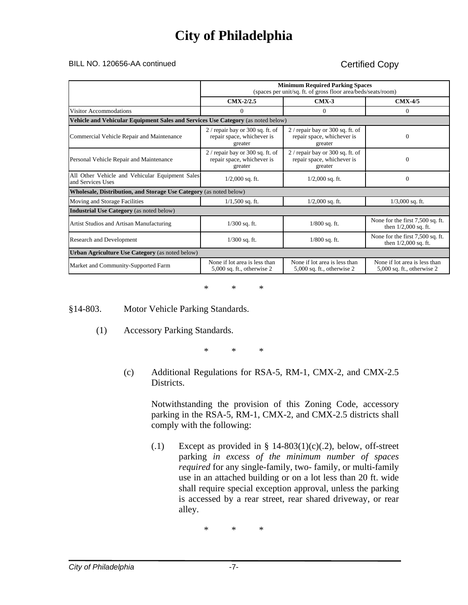### BILL NO. 120656-AA continued Certified Copy

|                                                                                  | <b>Minimum Required Parking Spaces</b><br>(spaces per unit/sq. ft. of gross floor area/beds/seats/room) |                                                                             |                                                               |  |  |  |
|----------------------------------------------------------------------------------|---------------------------------------------------------------------------------------------------------|-----------------------------------------------------------------------------|---------------------------------------------------------------|--|--|--|
|                                                                                  | CMX-2/2.5                                                                                               | $CMX-3$                                                                     | <b>CMX-4/5</b>                                                |  |  |  |
| <b>Visitor Accommodations</b>                                                    | $\Omega$                                                                                                | $\Omega$                                                                    | $\Omega$                                                      |  |  |  |
| Vehicle and Vehicular Equipment Sales and Services Use Category (as noted below) |                                                                                                         |                                                                             |                                                               |  |  |  |
| Commercial Vehicle Repair and Maintenance                                        | $2/$ repair bay or 300 sq. ft. of<br>repair space, whichever is<br>greater                              | $2$ / repair bay or 300 sq. ft. of<br>repair space, whichever is<br>greater | $\theta$                                                      |  |  |  |
| Personal Vehicle Repair and Maintenance                                          | $2/$ repair bay or 300 sq. ft. of<br>repair space, whichever is<br>greater                              | $2/$ repair bay or 300 sq. ft. of<br>repair space, whichever is<br>greater  | $\Omega$                                                      |  |  |  |
| All Other Vehicle and Vehicular Equipment Sales<br>and Services Uses             | $1/2,000$ sq. ft.                                                                                       | $1/2,000$ sq. ft.                                                           | $\theta$                                                      |  |  |  |
| Wholesale, Distribution, and Storage Use Category (as noted below)               |                                                                                                         |                                                                             |                                                               |  |  |  |
| Moving and Storage Facilities                                                    | $1/1,500$ sq. ft.                                                                                       | $1/2,000$ sq. ft.                                                           | $1/3,000$ sq. ft.                                             |  |  |  |
| <b>Industrial Use Category</b> (as noted below)                                  |                                                                                                         |                                                                             |                                                               |  |  |  |
| Artist Studios and Artisan Manufacturing                                         | $1/300$ sq. ft.                                                                                         | $1/800$ sq. ft.                                                             | None for the first 7,500 sq. ft.<br>then $1/2,000$ sq. ft.    |  |  |  |
| <b>Research and Development</b>                                                  | $1/300$ sq. ft.                                                                                         | $1/800$ sq. ft.                                                             | None for the first 7,500 sq. ft.<br>then $1/2,000$ sq. ft.    |  |  |  |
| Urban Agriculture Use Category (as noted below)                                  |                                                                                                         |                                                                             |                                                               |  |  |  |
| Market and Community-Supported Farm                                              | None if lot area is less than<br>5,000 sq. ft., otherwise 2                                             | None if lot area is less than<br>$5,000$ sq. ft., otherwise 2               | None if lot area is less than<br>$5,000$ sq. ft., otherwise 2 |  |  |  |
|                                                                                  | $\ast$<br>$\ast$<br>*                                                                                   |                                                                             |                                                               |  |  |  |

§14-803. Motor Vehicle Parking Standards.

(1) Accessory Parking Standards.

\* \* \*

(c) Additional Regulations for RSA-5, RM-1, CMX-2, and CMX-2.5 Districts.

> Notwithstanding the provision of this Zoning Code, accessory parking in the RSA-5, RM-1, CMX-2, and CMX-2.5 districts shall comply with the following:

> (.1) Except as provided in  $\S$  14-803(1)(c)(.2), below, off-street parking *in excess of the minimum number of spaces required* for any single-family, two- family, or multi-family use in an attached building or on a lot less than 20 ft. wide shall require special exception approval, unless the parking is accessed by a rear street, rear shared driveway, or rear alley.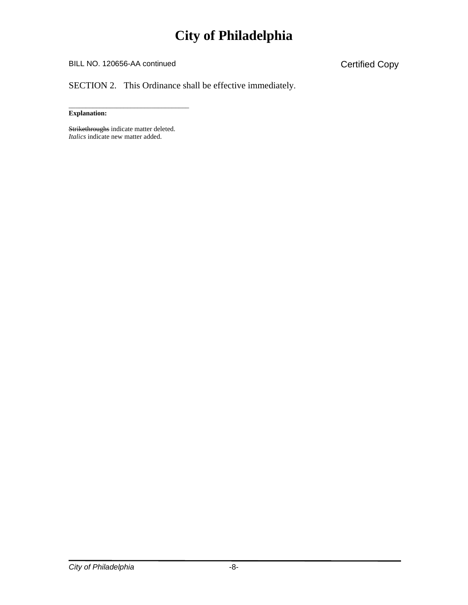BILL NO. 120656-AA continued Certified Copy

SECTION 2. This Ordinance shall be effective immediately.

**Explanation:** 

Strikethroughs indicate matter deleted. *Italics* indicate new matter added.

\_\_\_\_\_\_\_\_\_\_\_\_\_\_\_\_\_\_\_\_\_\_\_\_\_\_\_\_\_\_\_\_\_\_\_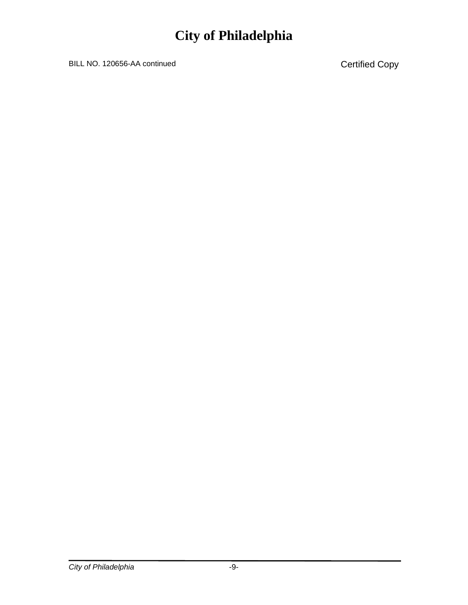BILL NO. 120656-AA continued Certified Copy